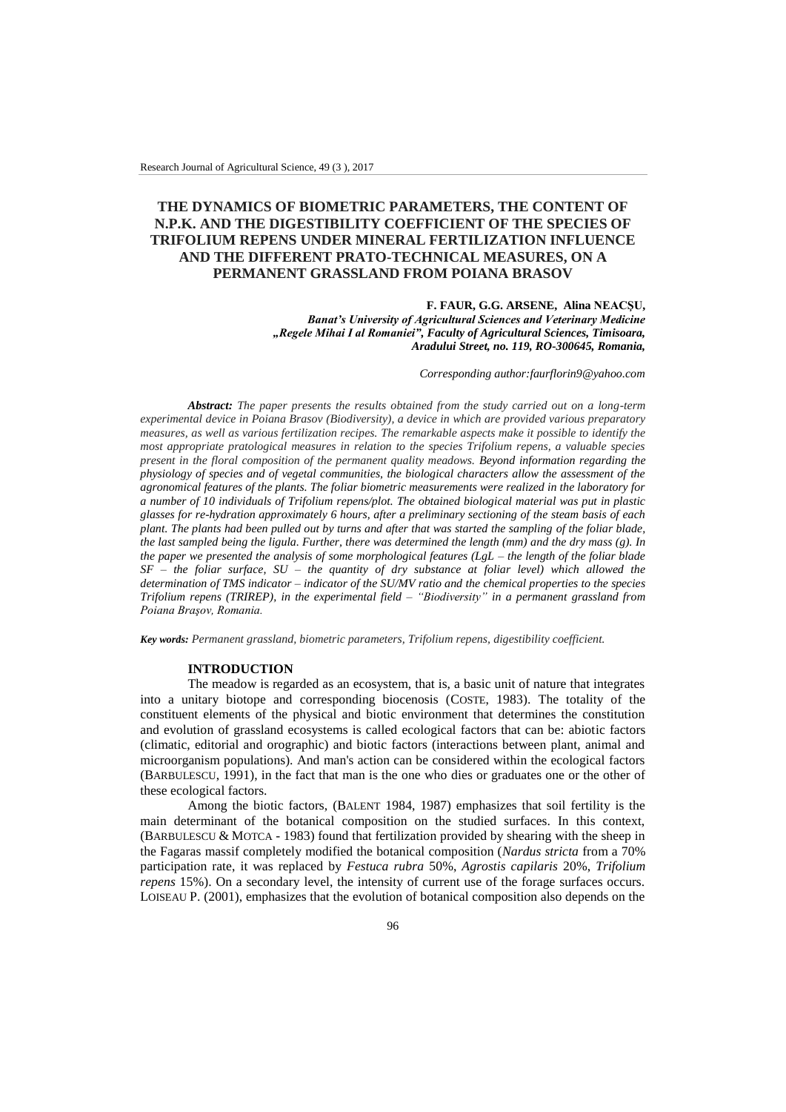# **THE DYNAMICS OF BIOMETRIC PARAMETERS, THE CONTENT OF N.P.K. AND THE DIGESTIBILITY COEFFICIENT OF THE SPECIES OF TRIFOLIUM REPENS UNDER MINERAL FERTILIZATION INFLUENCE AND THE DIFFERENT PRATO-TECHNICAL MEASURES, ON A PERMANENT GRASSLAND FROM POIANA BRASOV**

#### **F. FAUR, G.G. ARSENE, Alina NEACŞU,**  *Banat's University of Agricultural Sciences and Veterinary Medicine "Regele Mihai I al Romaniei", Faculty of Agricultural Sciences, Timisoara, Aradului Street, no. 119, RO-300645, Romania,*

 *Corresponding author:faurflorin9@yahoo.com*

*Abstract: The paper presents the results obtained from the study carried out on a long-term experimental device in Poiana Brasov (Biodiversity), a device in which are provided various preparatory measures, as well as various fertilization recipes. The remarkable aspects make it possible to identify the most appropriate pratological measures in relation to the species Trifolium repens, a valuable species present in the floral composition of the permanent quality meadows. Beyond information regarding the physiology of species and of vegetal communities, the biological characters allow the assessment of the agronomical features of the plants. The foliar biometric measurements were realized in the laboratory for a number of 10 individuals of Trifolium repens/plot. The obtained biological material was put in plastic glasses for re-hydration approximately 6 hours, after a preliminary sectioning of the steam basis of each plant. The plants had been pulled out by turns and after that was started the sampling of the foliar blade, the last sampled being the ligula. Further, there was determined the length (mm) and the dry mass (g). In the paper we presented the analysis of some morphological features (LgL – the length of the foliar blade SF – the foliar surface, SU – the quantity of dry substance at foliar level) which allowed the determination of TMS indicator – indicator of the SU/MV ratio and the chemical properties to the species Trifolium repens (TRIREP), in the experimental field – "Biodiversity" in a permanent grassland from Poiana Braşov, Romania.*

*Key words: Permanent grassland, biometric parameters, Trifolium repens, digestibility coefficient.*

#### **INTRODUCTION**

The meadow is regarded as an ecosystem, that is, a basic unit of nature that integrates into a unitary biotope and corresponding biocenosis (COSTE, 1983). The totality of the constituent elements of the physical and biotic environment that determines the constitution and evolution of grassland ecosystems is called ecological factors that can be: abiotic factors (climatic, editorial and orographic) and biotic factors (interactions between plant, animal and microorganism populations). And man's action can be considered within the ecological factors (BARBULESCU, 1991), in the fact that man is the one who dies or graduates one or the other of these ecological factors.

Among the biotic factors, (BALENT 1984, 1987) emphasizes that soil fertility is the main determinant of the botanical composition on the studied surfaces. In this context, (BARBULESCU & MOTCA - 1983) found that fertilization provided by shearing with the sheep in the Fagaras massif completely modified the botanical composition (*Nardus stricta* from a 70% participation rate, it was replaced by *Festuca rubra* 50%, *Agrostis capilaris* 20%, *Trifolium repens* 15%). On a secondary level, the intensity of current use of the forage surfaces occurs. LOISEAU P. (2001), emphasizes that the evolution of botanical composition also depends on the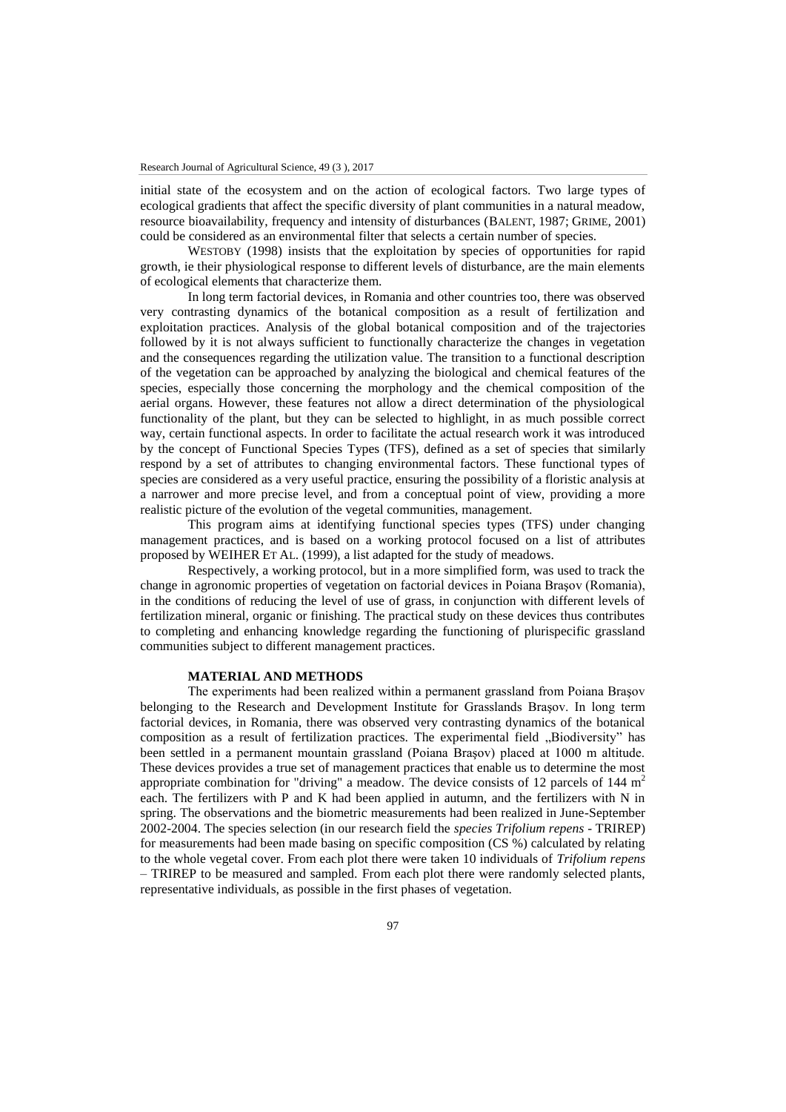initial state of the ecosystem and on the action of ecological factors. Two large types of ecological gradients that affect the specific diversity of plant communities in a natural meadow, resource bioavailability, frequency and intensity of disturbances (BALENT, 1987; GRIME, 2001) could be considered as an environmental filter that selects a certain number of species.

WESTOBY (1998) insists that the exploitation by species of opportunities for rapid growth, ie their physiological response to different levels of disturbance, are the main elements of ecological elements that characterize them.

In long term factorial devices, in Romania and other countries too, there was observed very contrasting dynamics of the botanical composition as a result of fertilization and exploitation practices. Analysis of the global botanical composition and of the trajectories followed by it is not always sufficient to functionally characterize the changes in vegetation and the consequences regarding the utilization value. The transition to a functional description of the vegetation can be approached by analyzing the biological and chemical features of the species, especially those concerning the morphology and the chemical composition of the aerial organs. However, these features not allow a direct determination of the physiological functionality of the plant, but they can be selected to highlight, in as much possible correct way, certain functional aspects. In order to facilitate the actual research work it was introduced by the concept of Functional Species Types (TFS), defined as a set of species that similarly respond by a set of attributes to changing environmental factors. These functional types of species are considered as a very useful practice, ensuring the possibility of a floristic analysis at a narrower and more precise level, and from a conceptual point of view, providing a more realistic picture of the evolution of the vegetal communities, management.

This program aims at identifying functional species types (TFS) under changing management practices, and is based on a working protocol focused on a list of attributes proposed by WEIHER ET AL. (1999), a list adapted for the study of meadows.

Respectively, a working protocol, but in a more simplified form, was used to track the change in agronomic properties of vegetation on factorial devices in Poiana Braşov (Romania), in the conditions of reducing the level of use of grass, in conjunction with different levels of fertilization mineral, organic or finishing. The practical study on these devices thus contributes to completing and enhancing knowledge regarding the functioning of plurispecific grassland communities subject to different management practices.

#### **MATERIAL AND METHODS**

The experiments had been realized within a permanent grassland from Poiana Braşov belonging to the Research and Development Institute for Grasslands Braşov. In long term factorial devices, in Romania, there was observed very contrasting dynamics of the botanical composition as a result of fertilization practices. The experimental field  $\Box$ Biodiversity" has been settled in a permanent mountain grassland (Poiana Braşov) placed at 1000 m altitude. These devices provides a true set of management practices that enable us to determine the most appropriate combination for "driving" a meadow. The device consists of 12 parcels of 144  $m<sup>2</sup>$ each. The fertilizers with P and K had been applied in autumn, and the fertilizers with N in spring. The observations and the biometric measurements had been realized in June-September 2002-2004. The species selection (in our research field the *species Trifolium repens* - TRIREP) for measurements had been made basing on specific composition (CS %) calculated by relating to the whole vegetal cover. From each plot there were taken 10 individuals of *Trifolium repens* – TRIREP to be measured and sampled. From each plot there were randomly selected plants, representative individuals, as possible in the first phases of vegetation.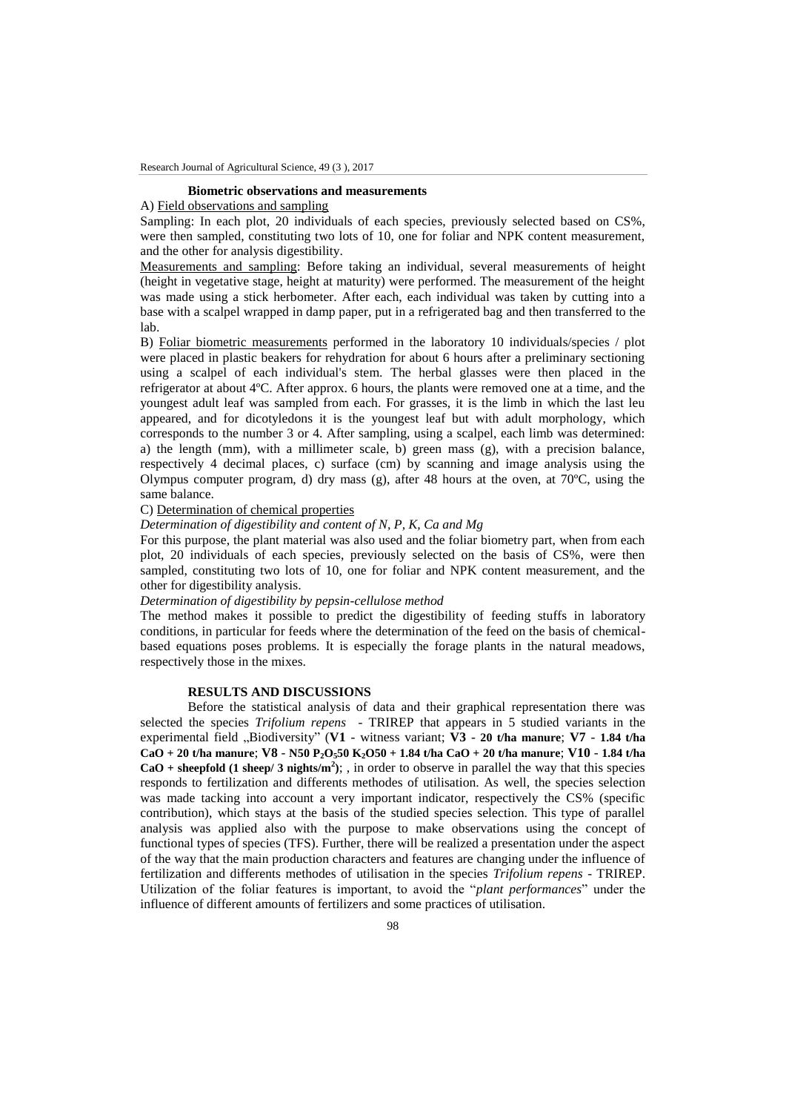#### **Biometric observations and measurements**

# A) Field observations and sampling

Sampling: In each plot, 20 individuals of each species, previously selected based on CS%, were then sampled, constituting two lots of 10, one for foliar and NPK content measurement, and the other for analysis digestibility.

Measurements and sampling: Before taking an individual, several measurements of height (height in vegetative stage, height at maturity) were performed. The measurement of the height was made using a stick herbometer. After each, each individual was taken by cutting into a base with a scalpel wrapped in damp paper, put in a refrigerated bag and then transferred to the lab.

B) Foliar biometric measurements performed in the laboratory 10 individuals/species / plot were placed in plastic beakers for rehydration for about 6 hours after a preliminary sectioning using a scalpel of each individual's stem. The herbal glasses were then placed in the refrigerator at about 4ºC. After approx. 6 hours, the plants were removed one at a time, and the youngest adult leaf was sampled from each. For grasses, it is the limb in which the last leu appeared, and for dicotyledons it is the youngest leaf but with adult morphology, which corresponds to the number 3 or 4. After sampling, using a scalpel, each limb was determined: a) the length (mm), with a millimeter scale, b) green mass (g), with a precision balance, respectively 4 decimal places, c) surface (cm) by scanning and image analysis using the Olympus computer program, d) dry mass  $(g)$ , after 48 hours at the oven, at 70 $^{\circ}$ C, using the same balance.

#### C) Determination of chemical properties

### *Determination of digestibility and content of N, P, K, Ca and Mg*

For this purpose, the plant material was also used and the foliar biometry part, when from each plot, 20 individuals of each species, previously selected on the basis of CS%, were then sampled, constituting two lots of 10, one for foliar and NPK content measurement, and the other for digestibility analysis.

## *Determination of digestibility by pepsin-cellulose method*

The method makes it possible to predict the digestibility of feeding stuffs in laboratory conditions, in particular for feeds where the determination of the feed on the basis of chemicalbased equations poses problems. It is especially the forage plants in the natural meadows, respectively those in the mixes.

## **RESULTS AND DISCUSSIONS**

Before the statistical analysis of data and their graphical representation there was selected the species *Trifolium repens* - TRIREP that appears in 5 studied variants in the experimental field "Biodiversity" (**V1** - witness variant; **V3** - **20 t/ha manure**; **V7** - **1.84 t/ha CaO + 20 t/ha manure**; **V8** - **N50 P2O550 K2O50 + 1.84 t/ha CaO + 20 t/ha manure**; **V10** - **1.84 t/ha**   $CaO + sheepfold (1 sheep/3 nights/m<sup>2</sup>)$ ; , in order to observe in parallel the way that this species responds to fertilization and differents methodes of utilisation. As well, the species selection was made tacking into account a very important indicator, respectively the CS% (specific contribution), which stays at the basis of the studied species selection. This type of parallel analysis was applied also with the purpose to make observations using the concept of functional types of species (TFS). Further, there will be realized a presentation under the aspect of the way that the main production characters and features are changing under the influence of fertilization and differents methodes of utilisation in the species *Trifolium repens* - TRIREP. Utilization of the foliar features is important, to avoid the "*plant performances*" under the influence of different amounts of fertilizers and some practices of utilisation.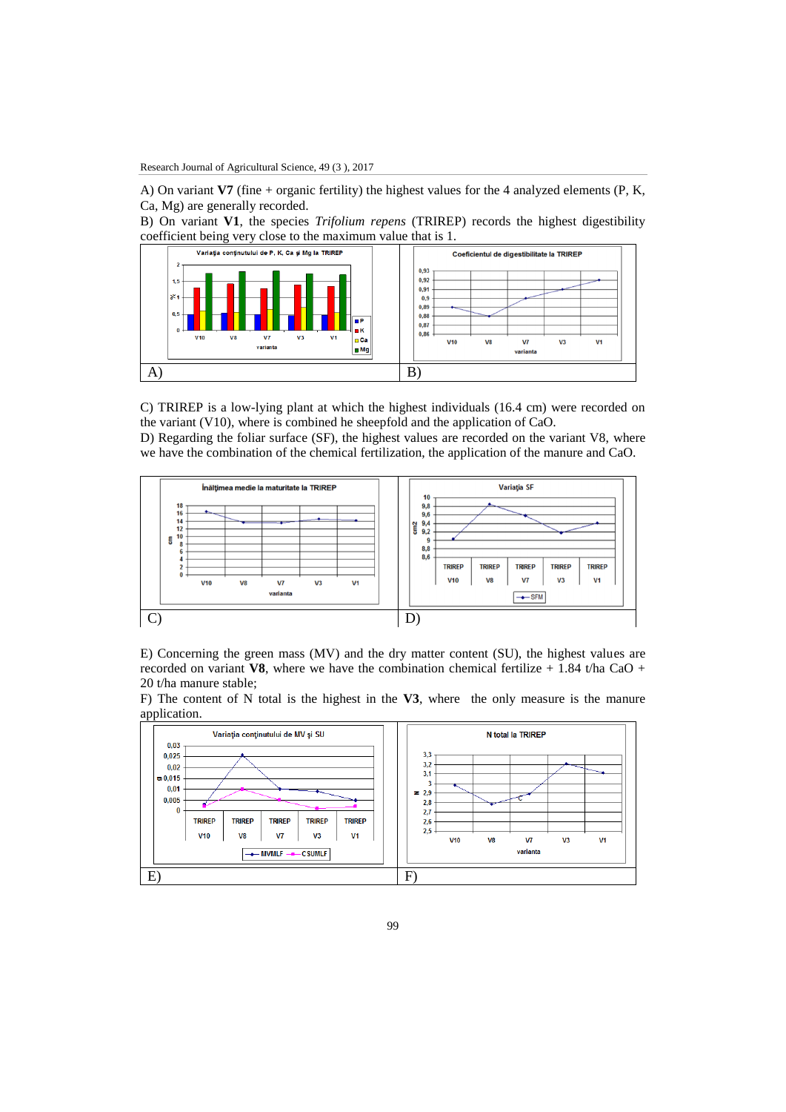A) On variant **V7** (fine + organic fertility) the highest values for the 4 analyzed elements (P, K, Ca, Mg) are generally recorded.

B) On variant **V1**, the species *Trifolium repens* (TRIREP) records the highest digestibility coefficient being very close to the maximum value that is 1.



C) TRIREP is a low-lying plant at which the highest individuals (16.4 cm) were recorded on the variant (V10), where is combined he sheepfold and the application of CaO. D) Regarding the foliar surface (SF), the highest values are recorded on the variant V8, where

we have the combination of the chemical fertilization, the application of the manure and CaO.



E) Concerning the green mass (MV) and the dry matter content (SU), the highest values are recorded on variant **V8**, where we have the combination chemical fertilize  $+1.84$  t/ha CaO + 20 t/ha manure stable;

F) The content of N total is the highest in the **V3**, where the only measure is the manure application.



99